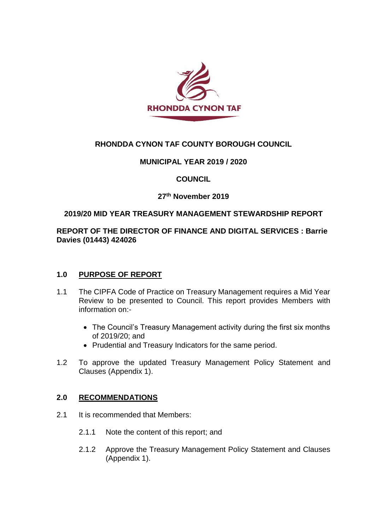

# **RHONDDA CYNON TAF COUNTY BOROUGH COUNCIL**

### **MUNICIPAL YEAR 2019 / 2020**

### **COUNCIL**

### **27 th November 2019**

#### **2019/20 MID YEAR TREASURY MANAGEMENT STEWARDSHIP REPORT**

### **REPORT OF THE DIRECTOR OF FINANCE AND DIGITAL SERVICES : Barrie Davies (01443) 424026**

#### **1.0 PURPOSE OF REPORT**

- 1.1 The CIPFA Code of Practice on Treasury Management requires a Mid Year Review to be presented to Council. This report provides Members with information on:-
	- The Council's Treasury Management activity during the first six months of 2019/20; and
	- Prudential and Treasury Indicators for the same period.
- 1.2 To approve the updated Treasury Management Policy Statement and Clauses (Appendix 1).

#### **2.0 RECOMMENDATIONS**

- 2.1 It is recommended that Members:
	- 2.1.1 Note the content of this report; and
	- 2.1.2 Approve the Treasury Management Policy Statement and Clauses (Appendix 1).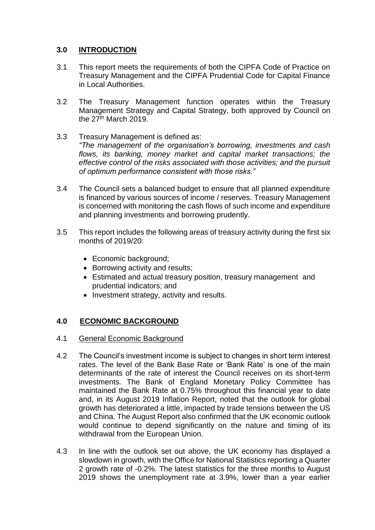# **3.0 INTRODUCTION**

- 3.1 This report meets the requirements of both the CIPFA Code of Practice on Treasury Management and the CIPFA Prudential Code for Capital Finance in Local Authorities.
- 3.2 The Treasury Management function operates within the Treasury Management Strategy and Capital Strategy, both approved by Council on the 27<sup>th</sup> March 2019.
- 3.3 Treasury Management is defined as: *"The management of the organisation's borrowing, investments and cash flows, its banking, money market and capital market transactions; the effective control of the risks associated with those activities; and the pursuit of optimum performance consistent with those risks."*
- 3.4 The Council sets a balanced budget to ensure that all planned expenditure is financed by various sources of income / reserves. Treasury Management is concerned with monitoring the cash flows of such income and expenditure and planning investments and borrowing prudently.
- 3.5 This report includes the following areas of treasury activity during the first six months of 2019/20:
	- Economic background;
	- Borrowing activity and results;
	- Estimated and actual treasury position, treasury management and prudential indicators; and
	- Investment strategy, activity and results.

# **4.0 ECONOMIC BACKGROUND**

# 4.1 General Economic Background

- 4.2 The Council's investment income is subject to changes in short term interest rates. The level of the Bank Base Rate or 'Bank Rate' is one of the main determinants of the rate of interest the Council receives on its short-term investments. The Bank of England Monetary Policy Committee has maintained the Bank Rate at 0.75% throughout this financial year to date and, in its August 2019 Inflation Report, noted that the outlook for global growth has deteriorated a little, impacted by trade tensions between the US and China. The August Report also confirmed that the UK economic outlook would continue to depend significantly on the nature and timing of its withdrawal from the European Union.
- 4.3 In line with the outlook set out above, the UK economy has displayed a slowdown in growth, with the Office for National Statistics reporting a Quarter 2 growth rate of -0.2%. The latest statistics for the three months to August 2019 shows the unemployment rate at 3.9%, lower than a year earlier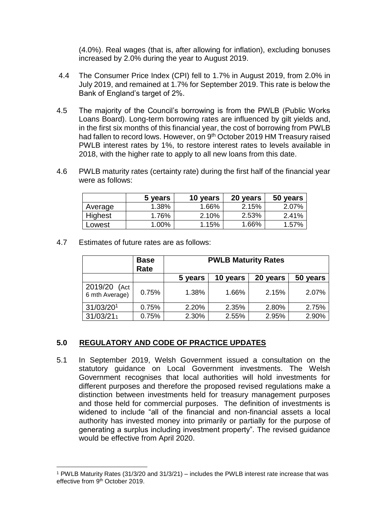(4.0%). Real wages (that is, after allowing for inflation), excluding bonuses increased by 2.0% during the year to August 2019.

- 4.4 The Consumer Price Index (CPI) fell to 1.7% in August 2019, from 2.0% in July 2019, and remained at 1.7% for September 2019. This rate is below the Bank of England's target of 2%.
- 4.5 The majority of the Council's borrowing is from the PWLB (Public Works Loans Board). Long-term borrowing rates are influenced by gilt yields and, in the first six months of this financial year, the cost of borrowing from PWLB had fallen to record lows. However, on 9<sup>th</sup> October 2019 HM Treasury raised PWLB interest rates by 1%, to restore interest rates to levels available in 2018, with the higher rate to apply to all new loans from this date.
- 4.6 PWLB maturity rates (certainty rate) during the first half of the financial year were as follows:

|         | 5 years | 10 years | 20 years | 50 years |
|---------|---------|----------|----------|----------|
| Average | 1.38%   | 1.66%    | 2.15%    | 2.07%    |
| Highest | 1.76%   | 2.10%    | 2.53%    | 2.41%    |
| ∟owest  | 1.00%   | 1.15%    | 1.66%    | 1.57%    |

4.7 Estimates of future rates are as follows:

l

|                                   | <b>Base</b><br>Rate | <b>PWLB Maturity Rates</b> |          |          |          |
|-----------------------------------|---------------------|----------------------------|----------|----------|----------|
|                                   |                     | 5 years                    | 10 years | 20 years | 50 years |
| 2019/20<br>(Act<br>6 mth Average) | 0.75%               | 1.38%                      | 1.66%    | 2.15%    | 2.07%    |
| 31/03/201                         | 0.75%               | 2.20%                      | 2.35%    | 2.80%    | 2.75%    |
| 31/03/211                         | 0.75%               | 2.30%                      | 2.55%    | 2.95%    | 2.90%    |

#### **5.0 REGULATORY AND CODE OF PRACTICE UPDATES**

5.1 In September 2019, Welsh Government issued a consultation on the statutory guidance on Local Government investments. The Welsh Government recognises that local authorities will hold investments for different purposes and therefore the proposed revised regulations make a distinction between investments held for treasury management purposes and those held for commercial purposes. The definition of investments is widened to include "all of the financial and non-financial assets a local authority has invested money into primarily or partially for the purpose of generating a surplus including investment property". The revised guidance would be effective from April 2020.

<sup>1</sup> PWLB Maturity Rates (31/3/20 and 31/3/21) – includes the PWLB interest rate increase that was effective from 9<sup>th</sup> October 2019.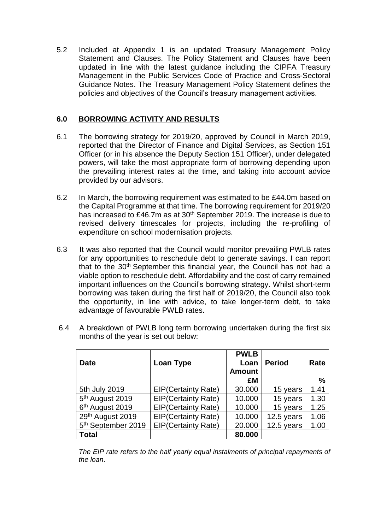5.2 Included at Appendix 1 is an updated Treasury Management Policy Statement and Clauses. The Policy Statement and Clauses have been updated in line with the latest guidance including the CIPFA Treasury Management in the Public Services Code of Practice and Cross-Sectoral Guidance Notes. The Treasury Management Policy Statement defines the policies and objectives of the Council's treasury management activities.

### **6.0 BORROWING ACTIVITY AND RESULTS**

- 6.1 The borrowing strategy for 2019/20, approved by Council in March 2019, reported that the Director of Finance and Digital Services, as Section 151 Officer (or in his absence the Deputy Section 151 Officer), under delegated powers, will take the most appropriate form of borrowing depending upon the prevailing interest rates at the time, and taking into account advice provided by our advisors.
- 6.2 In March, the borrowing requirement was estimated to be £44.0m based on the Capital Programme at that time. The borrowing requirement for 2019/20 has increased to £46.7m as at 30<sup>th</sup> September 2019. The increase is due to revised delivery timescales for projects, including the re-profiling of expenditure on school modernisation projects.
- 6.3 It was also reported that the Council would monitor prevailing PWLB rates for any opportunities to reschedule debt to generate savings. I can report that to the 30<sup>th</sup> September this financial year, the Council has not had a viable option to reschedule debt. Affordability and the cost of carry remained important influences on the Council's borrowing strategy. Whilst short-term borrowing was taken during the first half of 2019/20, the Council also took the opportunity, in line with advice, to take longer-term debt, to take advantage of favourable PWLB rates.

| <b>Date</b>                    | Loan Type                  | <b>PWLB</b><br>Loan<br><b>Amount</b> | <b>Period</b> | Rate |
|--------------------------------|----------------------------|--------------------------------------|---------------|------|
|                                |                            | £M                                   |               | %    |
| 5th July 2019                  | <b>EIP(Certainty Rate)</b> | 30.000                               | 15 years      | 1.41 |
| 5 <sup>th</sup> August 2019    | <b>EIP(Certainty Rate)</b> | 10.000                               | 15 years      | 1.30 |
| 6 <sup>th</sup> August 2019    | <b>EIP(Certainty Rate)</b> | 10.000                               | 15 years      | 1.25 |
| 29th August 2019               | <b>EIP(Certainty Rate)</b> | 10.000                               | 12.5 years    | 1.06 |
| 5 <sup>th</sup> September 2019 | <b>EIP(Certainty Rate)</b> | 20.000                               | 12.5 years    | 1.00 |
| Total                          |                            | 80.000                               |               |      |

6.4 A breakdown of PWLB long term borrowing undertaken during the first six months of the year is set out below:

The EIP rate refers to the half yearly equal instalments of principal repayments of *the loan*.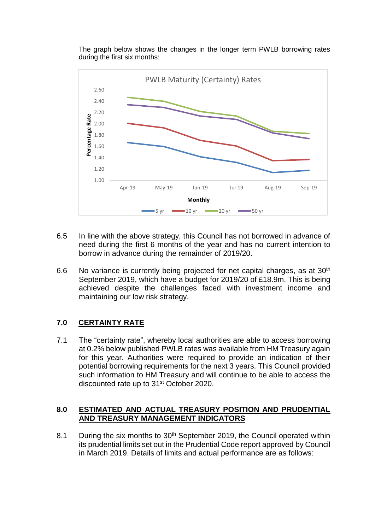The graph below shows the changes in the longer term PWLB borrowing rates during the first six months:



- 6.5 In line with the above strategy, this Council has not borrowed in advance of need during the first 6 months of the year and has no current intention to borrow in advance during the remainder of 2019/20.
- 6.6 No variance is currently being projected for net capital charges, as at  $30<sup>th</sup>$ September 2019, which have a budget for 2019/20 of £18.9m. This is being achieved despite the challenges faced with investment income and maintaining our low risk strategy.

# **7.0 CERTAINTY RATE**

7.1 The "certainty rate", whereby local authorities are able to access borrowing at 0.2% below published PWLB rates was available from HM Treasury again for this year. Authorities were required to provide an indication of their potential borrowing requirements for the next 3 years. This Council provided such information to HM Treasury and will continue to be able to access the discounted rate up to 31<sup>st</sup> October 2020.

#### **8.0 ESTIMATED AND ACTUAL TREASURY POSITION AND PRUDENTIAL AND TREASURY MANAGEMENT INDICATORS**

8.1 During the six months to 30<sup>th</sup> September 2019, the Council operated within its prudential limits set out in the Prudential Code report approved by Council in March 2019. Details of limits and actual performance are as follows: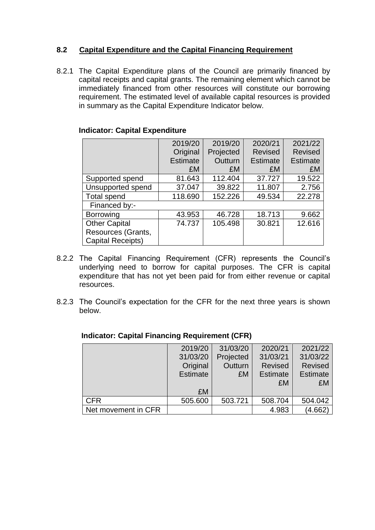# **8.2 Capital Expenditure and the Capital Financing Requirement**

8.2.1 The Capital Expenditure plans of the Council are primarily financed by capital receipts and capital grants. The remaining element which cannot be immediately financed from other resources will constitute our borrowing requirement. The estimated level of available capital resources is provided in summary as the Capital Expenditure Indicator below.

|  |  | <b>Indicator: Capital Expenditure</b> |
|--|--|---------------------------------------|
|--|--|---------------------------------------|

|                      | 2019/20         | 2019/20   | 2020/21        | 2021/22         |
|----------------------|-----------------|-----------|----------------|-----------------|
|                      | Original        | Projected | <b>Revised</b> | <b>Revised</b>  |
|                      | <b>Estimate</b> | Outturn   | Estimate       | <b>Estimate</b> |
|                      | £M              | £M        | £M             | £M              |
| Supported spend      | 81.643          | 112.404   | 37.727         | 19.522          |
| Unsupported spend    | 37.047          | 39.822    | 11.807         | 2.756           |
| <b>Total spend</b>   | 118.690         | 152.226   | 49.534         | 22.278          |
| Financed by:-        |                 |           |                |                 |
| <b>Borrowing</b>     | 43.953          | 46.728    | 18.713         | 9.662           |
| <b>Other Capital</b> | 74.737          | 105.498   | 30.821         | 12.616          |
| Resources (Grants,   |                 |           |                |                 |
| Capital Receipts)    |                 |           |                |                 |

- 8.2.2 The Capital Financing Requirement (CFR) represents the Council's underlying need to borrow for capital purposes. The CFR is capital expenditure that has not yet been paid for from either revenue or capital resources.
- 8.2.3 The Council's expectation for the CFR for the next three years is shown below.

|                     | 2019/20         | 31/03/20  | 2020/21         | 2021/22         |
|---------------------|-----------------|-----------|-----------------|-----------------|
|                     | 31/03/20        | Projected | 31/03/21        | 31/03/22        |
|                     | Original        | Outturn   | <b>Revised</b>  | <b>Revised</b>  |
|                     | <b>Estimate</b> | £M        | <b>Estimate</b> | <b>Estimate</b> |
|                     |                 |           | £M              | £M              |
|                     | £M              |           |                 |                 |
| <b>CFR</b>          | 505.600         | 503.721   | 508.704         | 504.042         |
| Net movement in CFR |                 |           | 4.983           | (4.662)         |

### **Indicator: Capital Financing Requirement (CFR)**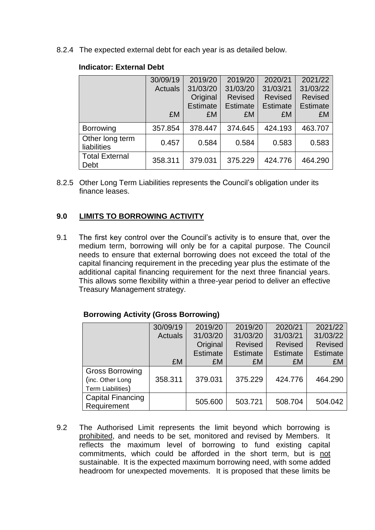8.2.4 The expected external debt for each year is as detailed below.

|                                | 30/09/19<br><b>Actuals</b> | 2019/20<br>31/03/20<br>Original<br><b>Estimate</b> | 2019/20<br>31/03/20<br><b>Revised</b><br><b>Estimate</b> | 2020/21<br>31/03/21<br><b>Revised</b><br><b>Estimate</b> | 2021/22<br>31/03/22<br><b>Revised</b><br><b>Estimate</b> |
|--------------------------------|----------------------------|----------------------------------------------------|----------------------------------------------------------|----------------------------------------------------------|----------------------------------------------------------|
|                                | £M                         | £M                                                 | £M                                                       | £M                                                       | £M                                                       |
| <b>Borrowing</b>               | 357.854                    | 378.447                                            | 374.645                                                  | 424.193                                                  | 463.707                                                  |
| Other long term<br>liabilities | 0.457                      | 0.584                                              | 0.584                                                    | 0.583                                                    | 0.583                                                    |
| <b>Total External</b><br>Debt  | 358.311                    | 379.031                                            | 375.229                                                  | 424.776                                                  | 464.290                                                  |

#### **Indicator: External Debt**

8.2.5 Other Long Term Liabilities represents the Council's obligation under its finance leases.

# **9.0 LIMITS TO BORROWING ACTIVITY**

9.1 The first key control over the Council's activity is to ensure that, over the medium term, borrowing will only be for a capital purpose. The Council needs to ensure that external borrowing does not exceed the total of the capital financing requirement in the preceding year plus the estimate of the additional capital financing requirement for the next three financial years. This allows some flexibility within a three-year period to deliver an effective Treasury Management strategy.

# **Borrowing Activity (Gross Borrowing)**

|                          | 30/09/19       | 2019/20         | 2019/20         | 2020/21         | 2021/22         |
|--------------------------|----------------|-----------------|-----------------|-----------------|-----------------|
|                          | <b>Actuals</b> | 31/03/20        | 31/03/20        | 31/03/21        | 31/03/22        |
|                          |                | Original        | <b>Revised</b>  | <b>Revised</b>  | <b>Revised</b>  |
|                          |                | <b>Estimate</b> | <b>Estimate</b> | <b>Estimate</b> | <b>Estimate</b> |
|                          | £M             | £M              | £M              | £M              | £M              |
| <b>Gross Borrowing</b>   |                |                 |                 |                 |                 |
| (inc. Other Long         | 358.311        | 379.031         | 375.229         | 424.776         | 464.290         |
| Term Liabilities)        |                |                 |                 |                 |                 |
| <b>Capital Financing</b> |                | 505.600         | 503.721         | 508.704         | 504.042         |
| Requirement              |                |                 |                 |                 |                 |

9.2 The Authorised Limit represents the limit beyond which borrowing is prohibited, and needs to be set, monitored and revised by Members. It reflects the maximum level of borrowing to fund existing capital commitments, which could be afforded in the short term, but is not sustainable. It is the expected maximum borrowing need, with some added headroom for unexpected movements. It is proposed that these limits be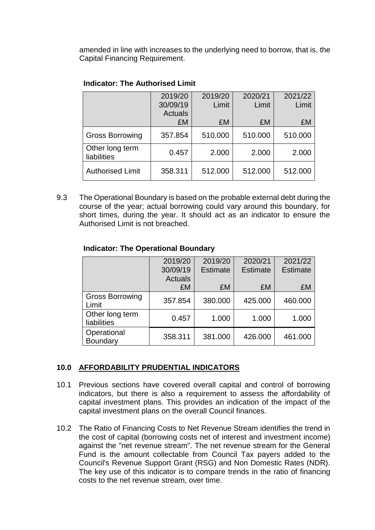amended in line with increases to the underlying need to borrow, that is, the Capital Financing Requirement.

|                                | 2019/20<br>30/09/19<br><b>Actuals</b> | 2019/20<br>Limit | 2020/21<br>Limit | 2021/22<br>Limit |
|--------------------------------|---------------------------------------|------------------|------------------|------------------|
|                                | £M                                    | £M               | £M               | £M               |
| <b>Gross Borrowing</b>         | 357.854                               | 510.000          | 510.000          | 510.000          |
| Other long term<br>liabilities | 0.457                                 | 2.000            | 2.000            | 2.000            |
| <b>Authorised Limit</b>        | 358.311                               | 512.000          | 512.000          | 512.000          |

### **Indicator: The Authorised Limit**

9.3 The Operational Boundary is based on the probable external debt during the course of the year; actual borrowing could vary around this boundary, for short times, during the year. It should act as an indicator to ensure the Authorised Limit is not breached.

### **Indicator: The Operational Boundary**

|                                 | 2019/20<br>30/09/19 | 2019/20<br><b>Estimate</b> | 2020/21<br><b>Estimate</b> | 2021/22<br><b>Estimate</b> |
|---------------------------------|---------------------|----------------------------|----------------------------|----------------------------|
|                                 | <b>Actuals</b>      |                            |                            |                            |
|                                 | £M                  | £M                         | £M                         | £M                         |
| <b>Gross Borrowing</b><br>Limit | 357.854             | 380.000                    | 425.000                    | 460.000                    |
| Other long term<br>liabilities  | 0.457               | 1.000                      | 1.000                      | 1.000                      |
| Operational<br>Boundary         | 358.311             | 381.000                    | 426.000                    | 461.000                    |

# **10.0 AFFORDABILITY PRUDENTIAL INDICATORS**

- 10.1 Previous sections have covered overall capital and control of borrowing indicators, but there is also a requirement to assess the affordability of capital investment plans. This provides an indication of the impact of the capital investment plans on the overall Council finances.
- 10.2 The Ratio of Financing Costs to Net Revenue Stream identifies the trend in the cost of capital (borrowing costs net of interest and investment income) against the "net revenue stream". The net revenue stream for the General Fund is the amount collectable from Council Tax payers added to the Council's Revenue Support Grant (RSG) and Non Domestic Rates (NDR). The key use of this indicator is to compare trends in the ratio of financing costs to the net revenue stream, over time.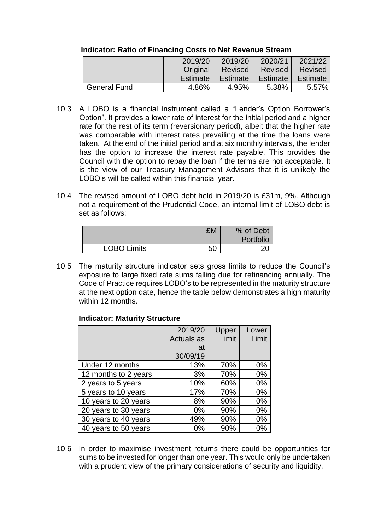|                     | 2019/20  | 2019/20        | 2020/21  | 2021/22         |
|---------------------|----------|----------------|----------|-----------------|
|                     | Original | <b>Revised</b> | Revised  | Revised         |
|                     | Estimate | Estimate       | Estimate | <b>Estimate</b> |
| <b>General Fund</b> | 4.86%    | 4.95%          | 5.38%    | $5.57\%$        |

#### **Indicator: Ratio of Financing Costs to Net Revenue Stream**

- 10.3 A LOBO is a financial instrument called a "Lender's Option Borrower's Option". It provides a lower rate of interest for the initial period and a higher rate for the rest of its term (reversionary period), albeit that the higher rate was comparable with interest rates prevailing at the time the loans were taken. At the end of the initial period and at six monthly intervals, the lender has the option to increase the interest rate payable. This provides the Council with the option to repay the loan if the terms are not acceptable. It is the view of our Treasury Management Advisors that it is unlikely the LOBO's will be called within this financial year.
- 10.4 The revised amount of LOBO debt held in 2019/20 is £31m, 9%. Although not a requirement of the Prudential Code, an internal limit of LOBO debt is set as follows:

|                    | £M | % of Debt |
|--------------------|----|-----------|
|                    |    | Portfolio |
| <b>LOBO Limits</b> | 50 |           |

10.5 The maturity structure indicator sets gross limits to reduce the Council's exposure to large fixed rate sums falling due for refinancing annually. The Code of Practice requires LOBO's to be represented in the maturity structure at the next option date, hence the table below demonstrates a high maturity within 12 months.

#### **Indicator: Maturity Structure**

|                      | 2019/20    | Upper | Lower |
|----------------------|------------|-------|-------|
|                      | Actuals as | Limit | Limit |
|                      | at         |       |       |
|                      | 30/09/19   |       |       |
| Under 12 months      | 13%        | 70%   | 0%    |
| 12 months to 2 years | 3%         | 70%   | $0\%$ |
| 2 years to 5 years   | 10%        | 60%   | 0%    |
| 5 years to 10 years  | 17%        | 70%   | $0\%$ |
| 10 years to 20 years | 8%         | 90%   | $0\%$ |
| 20 years to 30 years | 0%         | 90%   | 0%    |
| 30 years to 40 years | 49%        | 90%   | $0\%$ |
| 40 years to 50 years | 0%         | 90%   | $0\%$ |

10.6 In order to maximise investment returns there could be opportunities for sums to be invested for longer than one year. This would only be undertaken with a prudent view of the primary considerations of security and liquidity.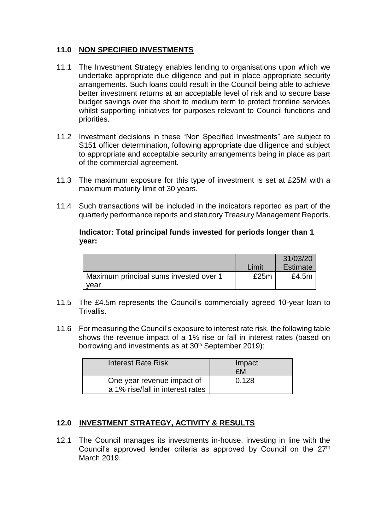# **11.0 NON SPECIFIED INVESTMENTS**

- 11.1 The Investment Strategy enables lending to organisations upon which we undertake appropriate due diligence and put in place appropriate security arrangements. Such loans could result in the Council being able to achieve better investment returns at an acceptable level of risk and to secure base budget savings over the short to medium term to protect frontline services whilst supporting initiatives for purposes relevant to Council functions and priorities.
- 11.2 Investment decisions in these "Non Specified Investments" are subject to S151 officer determination, following appropriate due diligence and subject to appropriate and acceptable security arrangements being in place as part of the commercial agreement.
- 11.3 The maximum exposure for this type of investment is set at £25M with a maximum maturity limit of 30 years.
- 11.4 Such transactions will be included in the indicators reported as part of the quarterly performance reports and statutory Treasury Management Reports.

#### **Indicator: Total principal funds invested for periods longer than 1 year:**

|                                        |       | 31/03/20 |
|----------------------------------------|-------|----------|
|                                        | Limit | Estimate |
| Maximum principal sums invested over 1 | £25m  | £4.5 $m$ |
| vear                                   |       |          |

- 11.5 The £4.5m represents the Council's commercially agreed 10-year loan to **Trivallis**
- 11.6 For measuring the Council's exposure to interest rate risk, the following table shows the revenue impact of a 1% rise or fall in interest rates (based on borrowing and investments as at 30<sup>th</sup> September 2019):

| <b>Interest Rate Risk</b>                                      | Impact<br>£M |
|----------------------------------------------------------------|--------------|
| One year revenue impact of<br>a 1% rise/fall in interest rates | 0.128        |

# **12.0 INVESTMENT STRATEGY, ACTIVITY & RESULTS**

12.1 The Council manages its investments in-house, investing in line with the Council's approved lender criteria as approved by Council on the 27<sup>th</sup> March 2019.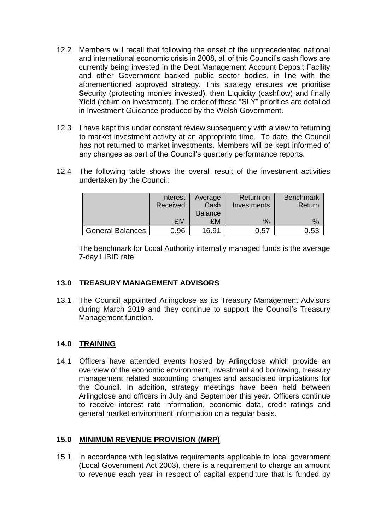- 12.2 Members will recall that following the onset of the unprecedented national and international economic crisis in 2008, all of this Council's cash flows are currently being invested in the Debt Management Account Deposit Facility and other Government backed public sector bodies, in line with the aforementioned approved strategy. This strategy ensures we prioritise **S**ecurity (protecting monies invested), then **L**iquidity (cashflow) and finally **Y**ield (return on investment). The order of these "SLY" priorities are detailed in Investment Guidance produced by the Welsh Government.
- 12.3 I have kept this under constant review subsequently with a view to returning to market investment activity at an appropriate time. To date, the Council has not returned to market investments. Members will be kept informed of any changes as part of the Council's quarterly performance reports.
- 12.4 The following table shows the overall result of the investment activities undertaken by the Council:

|                         | Interest<br>Received | Average<br>Cash | Return on<br>Investments | <b>Benchmark</b><br>Return |
|-------------------------|----------------------|-----------------|--------------------------|----------------------------|
|                         |                      | <b>Balance</b>  |                          |                            |
|                         | £M                   | £M              | $\%$                     | $\%$                       |
| <b>General Balances</b> | 0.96                 | 16.91           | 0.57                     | 0.53                       |

The benchmark for Local Authority internally managed funds is the average 7-day LIBID rate.

#### **13.0 TREASURY MANAGEMENT ADVISORS**

13.1 The Council appointed Arlingclose as its Treasury Management Advisors during March 2019 and they continue to support the Council's Treasury Management function.

# **14.0 TRAINING**

14.1 Officers have attended events hosted by Arlingclose which provide an overview of the economic environment, investment and borrowing, treasury management related accounting changes and associated implications for the Council. In addition, strategy meetings have been held between Arlingclose and officers in July and September this year. Officers continue to receive interest rate information, economic data, credit ratings and general market environment information on a regular basis.

# **15.0 MINIMUM REVENUE PROVISION (MRP)**

15.1 In accordance with legislative requirements applicable to local government (Local Government Act 2003), there is a requirement to charge an amount to revenue each year in respect of capital expenditure that is funded by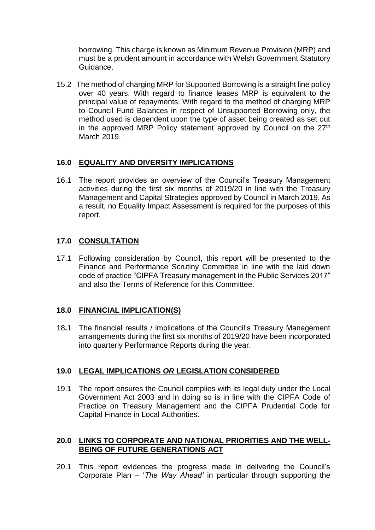borrowing. This charge is known as Minimum Revenue Provision (MRP) and must be a prudent amount in accordance with Welsh Government Statutory Guidance.

15.2 The method of charging MRP for Supported Borrowing is a straight line policy over 40 years. With regard to finance leases MRP is equivalent to the principal value of repayments. With regard to the method of charging MRP to Council Fund Balances in respect of Unsupported Borrowing only, the method used is dependent upon the type of asset being created as set out in the approved MRP Policy statement approved by Council on the 27<sup>th</sup> March 2019.

# **16.0 EQUALITY AND DIVERSITY IMPLICATIONS**

16.1 The report provides an overview of the Council's Treasury Management activities during the first six months of 2019/20 in line with the Treasury Management and Capital Strategies approved by Council in March 2019. As a result, no Equality Impact Assessment is required for the purposes of this report.

### **17.0 CONSULTATION**

17.1 Following consideration by Council, this report will be presented to the Finance and Performance Scrutiny Committee in line with the laid down code of practice "CIPFA Treasury management in the Public Services 2017" and also the Terms of Reference for this Committee.

#### **18.0 FINANCIAL IMPLICATION(S)**

18**.**1 The financial results / implications of the Council's Treasury Management arrangements during the first six months of 2019/20 have been incorporated into quarterly Performance Reports during the year.

#### **19.0 LEGAL IMPLICATIONS** *OR* **LEGISLATION CONSIDERED**

19.1 The report ensures the Council complies with its legal duty under the Local Government Act 2003 and in doing so is in line with the CIPFA Code of Practice on Treasury Management and the CIPFA Prudential Code for Capital Finance in Local Authorities.

#### **20.0 LINKS TO CORPORATE AND NATIONAL PRIORITIES AND THE WELL-BEING OF FUTURE GENERATIONS ACT**

20.1 This report evidences the progress made in delivering the Council's Corporate Plan – '*The Way Ahead'* in particular through supporting the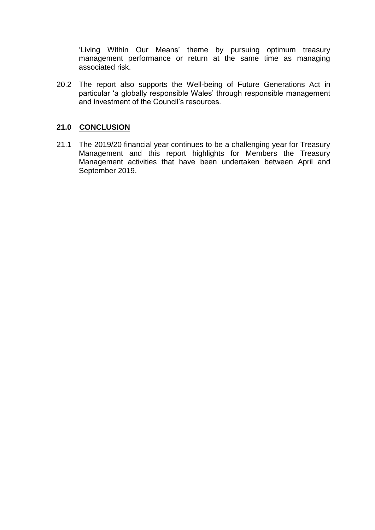'Living Within Our Means' theme by pursuing optimum treasury management performance or return at the same time as managing associated risk.

20.2 The report also supports the Well-being of Future Generations Act in particular 'a globally responsible Wales' through responsible management and investment of the Council's resources.

### **21.0 CONCLUSION**

21.1 The 2019/20 financial year continues to be a challenging year for Treasury Management and this report highlights for Members the Treasury Management activities that have been undertaken between April and September 2019.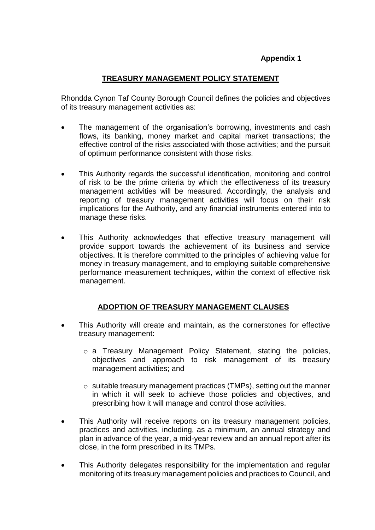# **Appendix 1**

### **TREASURY MANAGEMENT POLICY STATEMENT**

Rhondda Cynon Taf County Borough Council defines the policies and objectives of its treasury management activities as:

- The management of the organisation's borrowing, investments and cash flows, its banking, money market and capital market transactions; the effective control of the risks associated with those activities; and the pursuit of optimum performance consistent with those risks.
- This Authority regards the successful identification, monitoring and control of risk to be the prime criteria by which the effectiveness of its treasury management activities will be measured. Accordingly, the analysis and reporting of treasury management activities will focus on their risk implications for the Authority, and any financial instruments entered into to manage these risks.
- This Authority acknowledges that effective treasury management will provide support towards the achievement of its business and service objectives. It is therefore committed to the principles of achieving value for money in treasury management, and to employing suitable comprehensive performance measurement techniques, within the context of effective risk management.

# **ADOPTION OF TREASURY MANAGEMENT CLAUSES**

- This Authority will create and maintain, as the cornerstones for effective treasury management:
	- o a Treasury Management Policy Statement, stating the policies, objectives and approach to risk management of its treasury management activities; and
	- o suitable treasury management practices (TMPs), setting out the manner in which it will seek to achieve those policies and objectives, and prescribing how it will manage and control those activities.
- This Authority will receive reports on its treasury management policies, practices and activities, including, as a minimum, an annual strategy and plan in advance of the year, a mid-year review and an annual report after its close, in the form prescribed in its TMPs.
- This Authority delegates responsibility for the implementation and regular monitoring of its treasury management policies and practices to Council, and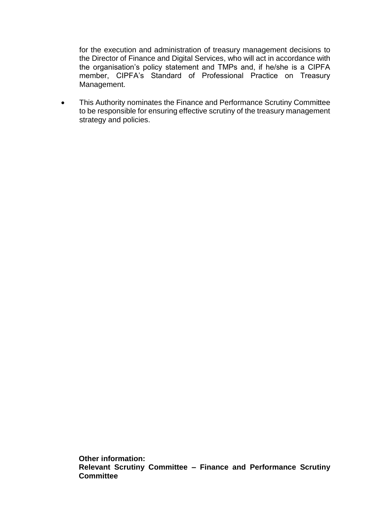for the execution and administration of treasury management decisions to the Director of Finance and Digital Services, who will act in accordance with the organisation's policy statement and TMPs and, if he/she is a CIPFA member, CIPFA's Standard of Professional Practice on Treasury Management.

 This Authority nominates the Finance and Performance Scrutiny Committee to be responsible for ensuring effective scrutiny of the treasury management strategy and policies.

**Other information: Relevant Scrutiny Committee – Finance and Performance Scrutiny Committee**